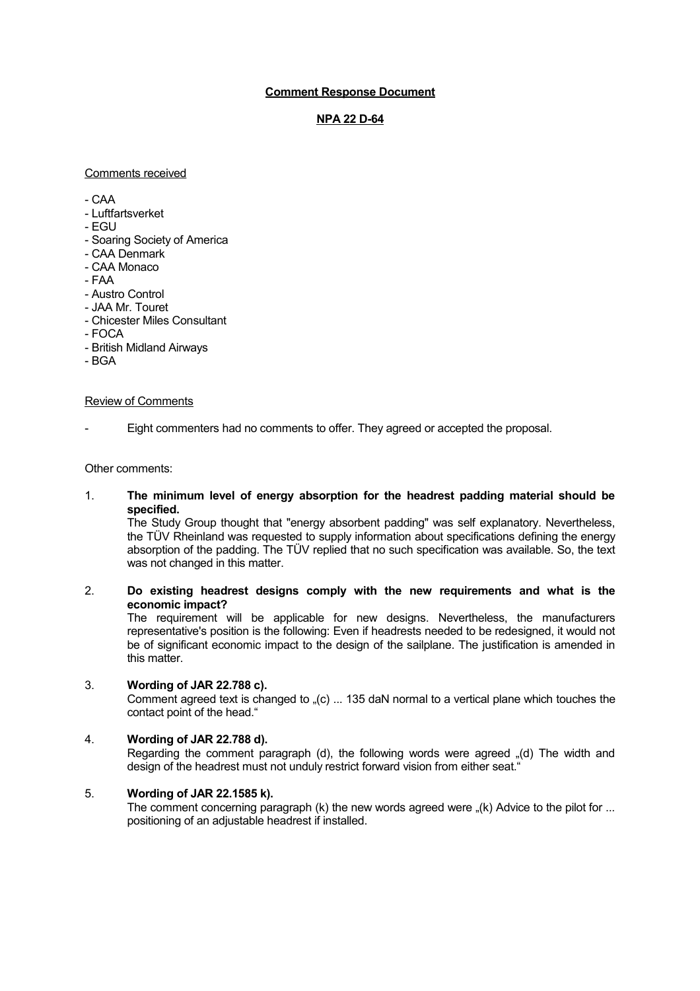# **Comment Response Document**

# **NPA 22 D-64**

## Comments received

 $-CAA$ 

- Luftfartsverket
- EGU
- Soaring Society of America
- CAA Denmark
- CAA Monaco
- FAA
- Austro Control
- JAA Mr. Touret
- Chicester Miles Consultant
- $-$  FOCA
- British Midland Airways
- BGA

# Review of Comments

Eight commenters had no comments to offer. They agreed or accepted the proposal.

## Other comments:

## 1. **The minimum level of energy absorption for the headrest padding material should be specified.**

The Study Group thought that "energy absorbent padding" was self explanatory. Nevertheless, the TÜV Rheinland was requested to supply information about specifications defining the energy absorption of the padding. The TÜV replied that no such specification was available. So, the text was not changed in this matter.

# 2. **Do existing headrest designs comply with the new requirements and what is the economic impact?**

The requirement will be applicable for new designs. Nevertheless, the manufacturers representative's position is the following: Even if headrests needed to be redesigned, it would not be of significant economic impact to the design of the sailplane. The justification is amended in this matter.

## 3. **Wording of JAR 22.788 c).**

Comment agreed text is changed to  $_{\text{m}}(c)$  ... 135 daN normal to a vertical plane which touches the contact point of the head."

# 4. **Wording of JAR 22.788 d).**

Regarding the comment paragraph (d), the following words were agreed  $(d)$  The width and design of the headrest must not unduly restrict forward vision from either seat."

# 5. **Wording of JAR 22.1585 k).**

The comment concerning paragraph (k) the new words agreed were "(k) Advice to the pilot for ... positioning of an adjustable headrest if installed.